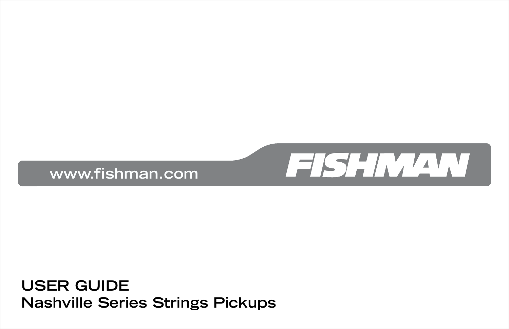

**USER GUIDE Nashville Series Strings Pickups**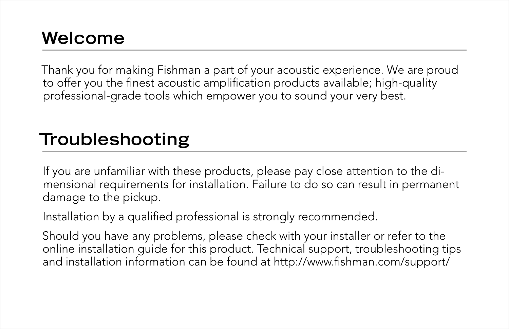## **Welcome**

Thank you for making Fishman a part of your acoustic experience. We are proud to offer you the finest acoustic amplification products available; high-quality professional-grade tools which empower you to sound your very best.

## **Troubleshooting**

If you are unfamiliar with these products, please pay close attention to the dimensional requirements for installation. Failure to do so can result in permanent damage to the pickup.

Installation by a qualified professional is strongly recommended.

Should you have any problems, please check with your installer or refer to the online installation guide for this product. Technical support, troubleshooting tips and installation information can be found at http://www.fishman.com/support/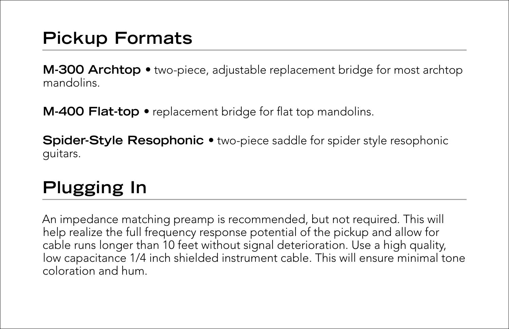## **Pickup Formats**

**M-300 Archtop •** two-piece, adjustable replacement bridge for most archtop mandolins.

**M-400 Flat-top •** replacement bridge for flat top mandolins.

**Spider-Style Resophonic •** two-piece saddle for spider style resophonic guitars.

## **Plugging In**

An impedance matching preamp is recommended, but not required. This will help realize the full frequency response potential of the pickup and allow for cable runs longer than 10 feet without signal deterioration. Use a high quality, low capacitance 1/4 inch shielded instrument cable. This will ensure minimal tone coloration and hum.